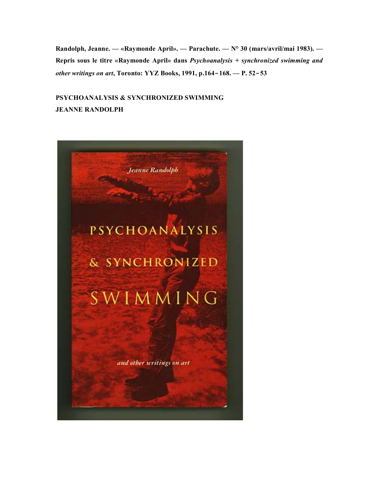**Randolph, Jeanne. — «Raymonde April». — Parachute. — N° 30 (mars/avril/mai 1983). — Repris sous le titre «Raymonde April» dans** *Psychoanalysis + synchronized swimming and other writings on art***, Toronto: YYZ Books, 1991, p.164**‑**168. — P. 52**‑**53**

## **PSYCHOANALYSIS & SYNCHRONIZED SWIMMING JEANNE RANDOLPH**

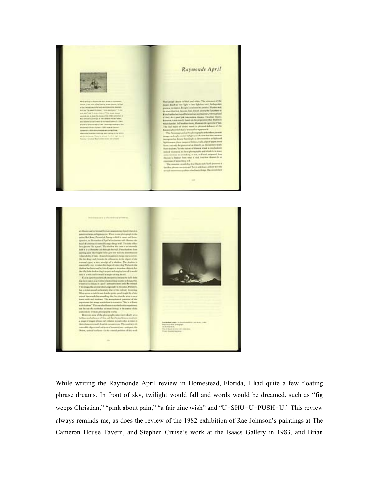

While writing the Raymonde April review in Homestead, Florida, I had quite a few floating phrase dreams. In front of sky, twilight would fall and words would be dreamed, such as "fig weeps Christian," "pink about pain," "a fair zinc wish" and "U-SHU-U-PUSH-U." This review always reminds me, as does the review of the 1982 exhibition of Rae Johnson's paintings at The Cameron House Tavern, and Stephen Cruise's work at the Isaacs Gallery in 1983, and Brian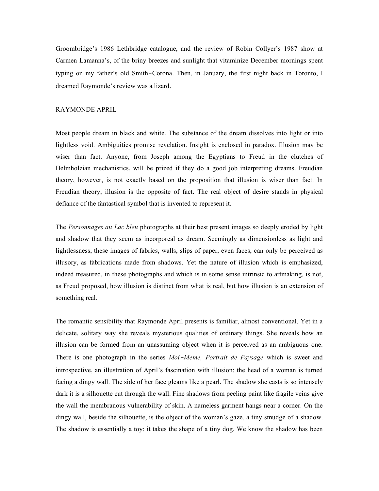Groombridge's 1986 Lethbridge catalogue, and the review of Robin Collyer's 1987 show at Carmen Lamanna's, of the briny breezes and sunlight that vitaminize December mornings spent typing on my father's old Smith‑Corona. Then, in January, the first night back in Toronto, I dreamed Raymonde's review was a lizard.

## RAYMONDE APRIL

Most people dream in black and white. The substance of the dream dissolves into light or into lightless void. Ambiguities promise revelation. Insight is enclosed in paradox. Illusion may be wiser than fact. Anyone, from Joseph among the Egyptians to Freud in the clutches of Helmholzian mechanistics, will be prized if they do a good job interpreting dreams. Freudian theory, however, is not exactly based on the proposition that illusion is wiser than fact. In Freudian theory, illusion is the opposite of fact. The real object of desire stands in physical defiance of the fantastical symbol that is invented to represent it.

The *Personnages au Lac bleu* photographs at their best present images so deeply eroded by light and shadow that they seem as incorporeal as dream. Seemingly as dimensionless as light and lightlessness, these images of fabrics, walls, slips of paper, even faces, can only be perceived as illusory, as fabrications made from shadows. Yet the nature of illusion which is emphasized, indeed treasured, in these photographs and which is in some sense intrinsic to artmaking, is not, as Freud proposed, how illusion is distinct from what is real, but how illusion is an extension of something real.

The romantic sensibility that Raymonde April presents is familiar, almost conventional. Yet in a delicate, solitary way she reveals mysterious qualities of ordinary things. She reveals how an illusion can be formed from an unassuming object when it is perceived as an ambiguous one. There is one photograph in the series *Moi*‑*Meme, Portrait de Paysage* which is sweet and introspective, an illustration of April's fascination with illusion: the head of a woman is turned facing a dingy wall. The side of her face gleams like a pearl. The shadow she casts is so intensely dark it is a silhouette cut through the wall. Fine shadows from peeling paint like fragile veins give the wall the membranous vulnerability of skin. A nameless garment hangs near a corner. On the dingy wall, beside the silhouette, is the object of the woman's gaze, a tiny smudge of a shadow. The shadow is essentially a toy: it takes the shape of a tiny dog. We know the shadow has been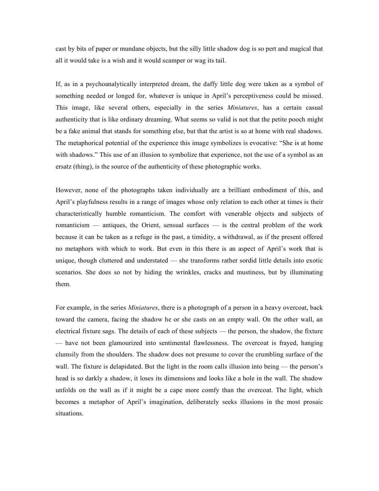cast by bits of paper or mundane objects, but the silly little shadow dog is so pert and magical that all it would take is a wish and it would scamper or wag its tail.

If, as in a psychoanalytically interpreted dream, the daffy little dog were taken as a symbol of something needed or longed for, whatever is unique in April's perceptiveness could be missed. This image, like several others, especially in the series *Miniatures*, has a certain casual authenticity that is like ordinary dreaming. What seems so valid is not that the petite pooch might be a fake animal that stands for something else, but that the artist is so at home with real shadows. The metaphorical potential of the experience this image symbolizes is evocative: "She is at home with shadows." This use of an illusion to symbolize that experience, not the use of a symbol as an ersatz (thing), is the source of the authenticity of these photographic works.

However, none of the photographs taken individually are a brilliant embodiment of this, and April's playfulness results in a range of images whose only relation to each other at times is their characteristically humble romanticism. The comfort with venerable objects and subjects of romanticism — antiques, the Orient, sensual surfaces — is the central problem of the work because it can be taken as a refuge in the past, a timidity, a withdrawal, as if the present offered no metaphors with which to work. But even in this there is an aspect of April's work that is unique, though cluttered and understated — she transforms rather sordid little details into exotic scenarios. She does so not by hiding the wrinkles, cracks and mustiness, but by illuminating them.

For example, in the series *Miniatures*, there is a photograph of a person in a heavy overcoat, back toward the camera, facing the shadow he or she casts on an empty wall. On the other wall, an electrical fixture sags. The details of each of these subjects — the person, the shadow, the fixture — have not been glamourized into sentimental flawlessness. The overcoat is frayed, hanging clumsily from the shoulders. The shadow does not presume to cover the crumbling surface of the wall. The fixture is delapidated. But the light in the room calls illusion into being — the person's head is so darkly a shadow, it loses its dimensions and looks like a hole in the wall. The shadow unfolds on the wall as if it might be a cape more comfy than the overcoat. The light, which becomes a metaphor of April's imagination, deliberately seeks illusions in the most prosaic situations.